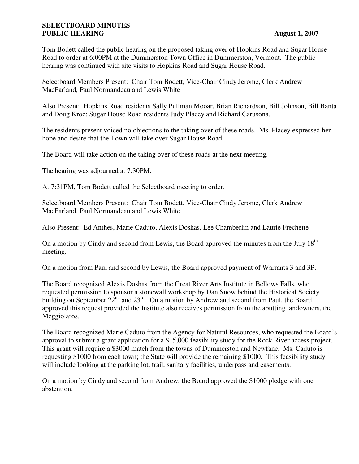## **SELECTBOARD MINUTES PUBLIC HEARING August 1, 2007**

Tom Bodett called the public hearing on the proposed taking over of Hopkins Road and Sugar House Road to order at 6:00PM at the Dummerston Town Office in Dummerston, Vermont. The public hearing was continued with site visits to Hopkins Road and Sugar House Road.

Selectboard Members Present: Chair Tom Bodett, Vice-Chair Cindy Jerome, Clerk Andrew MacFarland, Paul Normandeau and Lewis White

Also Present: Hopkins Road residents Sally Pullman Mooar, Brian Richardson, Bill Johnson, Bill Banta and Doug Kroc; Sugar House Road residents Judy Placey and Richard Carusona.

The residents present voiced no objections to the taking over of these roads. Ms. Placey expressed her hope and desire that the Town will take over Sugar House Road.

The Board will take action on the taking over of these roads at the next meeting.

The hearing was adjourned at 7:30PM.

At 7:31PM, Tom Bodett called the Selectboard meeting to order.

Selectboard Members Present: Chair Tom Bodett, Vice-Chair Cindy Jerome, Clerk Andrew MacFarland, Paul Normandeau and Lewis White

Also Present: Ed Anthes, Marie Caduto, Alexis Doshas, Lee Chamberlin and Laurie Frechette

On a motion by Cindy and second from Lewis, the Board approved the minutes from the July  $18<sup>th</sup>$ meeting.

On a motion from Paul and second by Lewis, the Board approved payment of Warrants 3 and 3P.

The Board recognized Alexis Doshas from the Great River Arts Institute in Bellows Falls, who requested permission to sponsor a stonewall workshop by Dan Snow behind the Historical Society building on September  $22^{nd}$  and  $23^{rd}$ . On a motion by Andrew and second from Paul, the Board approved this request provided the Institute also receives permission from the abutting landowners, the Meggiolaros.

The Board recognized Marie Caduto from the Agency for Natural Resources, who requested the Board's approval to submit a grant application for a \$15,000 feasibility study for the Rock River access project. This grant will require a \$3000 match from the towns of Dummerston and Newfane. Ms. Caduto is requesting \$1000 from each town; the State will provide the remaining \$1000. This feasibility study will include looking at the parking lot, trail, sanitary facilities, underpass and easements.

On a motion by Cindy and second from Andrew, the Board approved the \$1000 pledge with one abstention.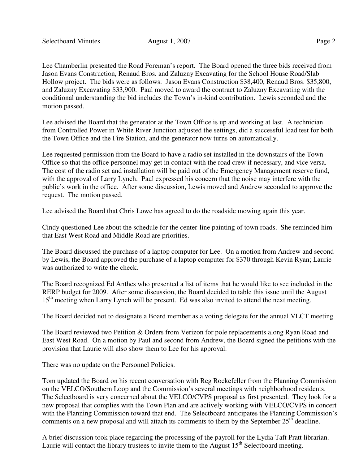Lee Chamberlin presented the Road Foreman's report. The Board opened the three bids received from Jason Evans Construction, Renaud Bros. and Zaluzny Excavating for the School House Road/Slab Hollow project. The bids were as follows: Jason Evans Construction \$38,400, Renaud Bros. \$35,800, and Zaluzny Excavating \$33,900. Paul moved to award the contract to Zaluzny Excavating with the conditional understanding the bid includes the Town's in-kind contribution. Lewis seconded and the motion passed.

Lee advised the Board that the generator at the Town Office is up and working at last. A technician from Controlled Power in White River Junction adjusted the settings, did a successful load test for both the Town Office and the Fire Station, and the generator now turns on automatically.

Lee requested permission from the Board to have a radio set installed in the downstairs of the Town Office so that the office personnel may get in contact with the road crew if necessary, and vice versa. The cost of the radio set and installation will be paid out of the Emergency Management reserve fund, with the approval of Larry Lynch. Paul expressed his concern that the noise may interfere with the public's work in the office. After some discussion, Lewis moved and Andrew seconded to approve the request. The motion passed.

Lee advised the Board that Chris Lowe has agreed to do the roadside mowing again this year.

Cindy questioned Lee about the schedule for the center-line painting of town roads. She reminded him that East West Road and Middle Road are priorities.

The Board discussed the purchase of a laptop computer for Lee. On a motion from Andrew and second by Lewis, the Board approved the purchase of a laptop computer for \$370 through Kevin Ryan; Laurie was authorized to write the check.

The Board recognized Ed Anthes who presented a list of items that he would like to see included in the RERP budget for 2009. After some discussion, the Board decided to table this issue until the August 15<sup>th</sup> meeting when Larry Lynch will be present. Ed was also invited to attend the next meeting.

The Board decided not to designate a Board member as a voting delegate for the annual VLCT meeting.

The Board reviewed two Petition & Orders from Verizon for pole replacements along Ryan Road and East West Road. On a motion by Paul and second from Andrew, the Board signed the petitions with the provision that Laurie will also show them to Lee for his approval.

There was no update on the Personnel Policies.

Tom updated the Board on his recent conversation with Reg Rockefeller from the Planning Commission on the VELCO/Southern Loop and the Commission's several meetings with neighborhood residents. The Selectboard is very concerned about the VELCO/CVPS proposal as first presented. They look for a new proposal that complies with the Town Plan and are actively working with VELCO/CVPS in concert with the Planning Commission toward that end. The Selectboard anticipates the Planning Commission's comments on a new proposal and will attach its comments to them by the September 25<sup>th</sup> deadline.

A brief discussion took place regarding the processing of the payroll for the Lydia Taft Pratt librarian. Laurie will contact the library trustees to invite them to the August  $15<sup>th</sup>$  Selectboard meeting.